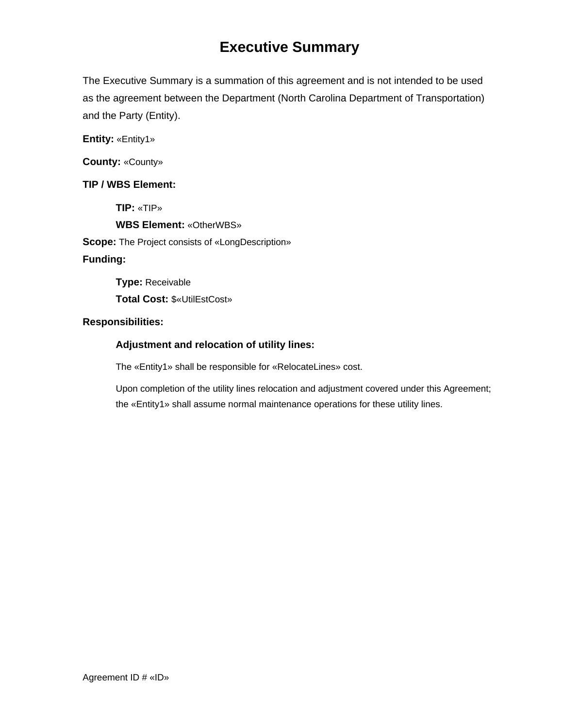# **Executive Summary**

The Executive Summary is a summation of this agreement and is not intended to be used as the agreement between the Department (North Carolina Department of Transportation) and the Party (Entity).

**Entity:** «Entity1»

**County:** «County»

# **TIP / WBS Element:**

**TIP:** «TIP»

**WBS Element:** «OtherWBS»

**Scope:** The Project consists of «LongDescription»

# **Funding:**

**Type:** Receivable **Total Cost:** \$«UtilEstCost»

# **Responsibilities:**

# **Adjustment and relocation of utility lines:**

The «Entity1» shall be responsible for «RelocateLines» cost.

Upon completion of the utility lines relocation and adjustment covered under this Agreement; the «Entity1» shall assume normal maintenance operations for these utility lines.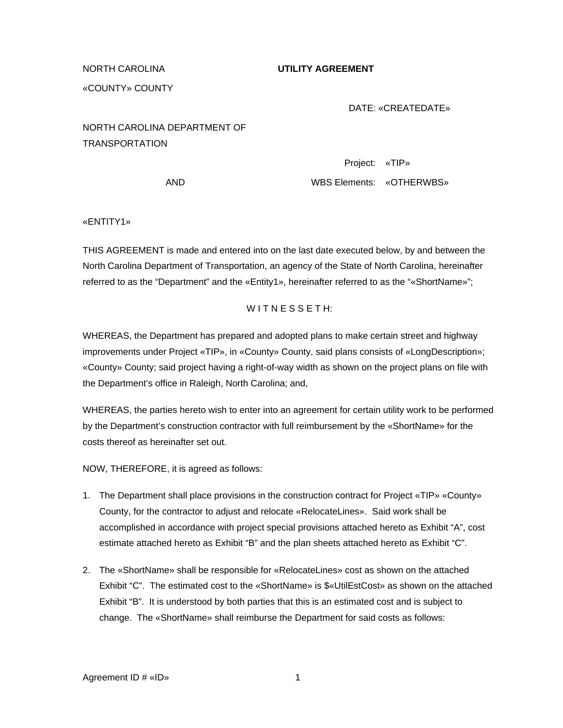### NORTH CAROLINA **UTILITY AGREEMENT**

## «COUNTY» COUNTY

### DATE: «CREATEDATE»

NORTH CAROLINA DEPARTMENT OF TRANSPORTATION

> Project: «TIP» AND WBS Elements: «OTHERWBS»

«ENTITY1»

THIS AGREEMENT is made and entered into on the last date executed below, by and between the North Carolina Department of Transportation, an agency of the State of North Carolina, hereinafter referred to as the "Department" and the «Entity1», hereinafter referred to as the "«ShortName»";

## WITNESSETH:

WHEREAS, the Department has prepared and adopted plans to make certain street and highway improvements under Project «TIP», in «County» County, said plans consists of «LongDescription»; «County» County; said project having a right-of-way width as shown on the project plans on file with the Department's office in Raleigh, North Carolina; and,

WHEREAS, the parties hereto wish to enter into an agreement for certain utility work to be performed by the Department's construction contractor with full reimbursement by the «ShortName» for the costs thereof as hereinafter set out.

NOW, THEREFORE, it is agreed as follows:

- 1. The Department shall place provisions in the construction contract for Project «TIP» «County» County, for the contractor to adjust and relocate «RelocateLines». Said work shall be accomplished in accordance with project special provisions attached hereto as Exhibit "A", cost estimate attached hereto as Exhibit "B" and the plan sheets attached hereto as Exhibit "C".
- 2. The «ShortName» shall be responsible for «RelocateLines» cost as shown on the attached Exhibit "C". The estimated cost to the «ShortName» is \$«UtilEstCost» as shown on the attached Exhibit "B". It is understood by both parties that this is an estimated cost and is subject to change. The «ShortName» shall reimburse the Department for said costs as follows: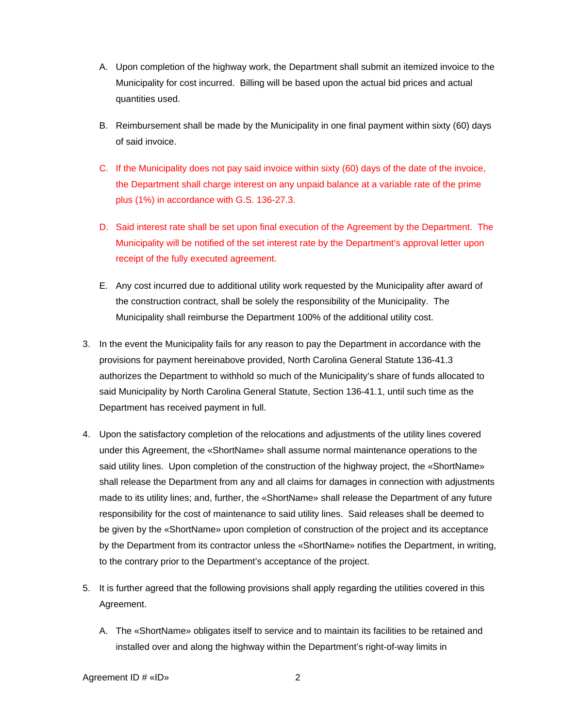- A. Upon completion of the highway work, the Department shall submit an itemized invoice to the Municipality for cost incurred. Billing will be based upon the actual bid prices and actual quantities used.
- B. Reimbursement shall be made by the Municipality in one final payment within sixty (60) days of said invoice.
- C. If the Municipality does not pay said invoice within sixty (60) days of the date of the invoice, the Department shall charge interest on any unpaid balance at a variable rate of the prime plus (1%) in accordance with G.S. 136-27.3.
- D. Said interest rate shall be set upon final execution of the Agreement by the Department. The Municipality will be notified of the set interest rate by the Department's approval letter upon receipt of the fully executed agreement.
- E. Any cost incurred due to additional utility work requested by the Municipality after award of the construction contract, shall be solely the responsibility of the Municipality. The Municipality shall reimburse the Department 100% of the additional utility cost.
- 3. In the event the Municipality fails for any reason to pay the Department in accordance with the provisions for payment hereinabove provided, North Carolina General Statute 136-41.3 authorizes the Department to withhold so much of the Municipality's share of funds allocated to said Municipality by North Carolina General Statute, Section 136-41.1, until such time as the Department has received payment in full.
- 4. Upon the satisfactory completion of the relocations and adjustments of the utility lines covered under this Agreement, the «ShortName» shall assume normal maintenance operations to the said utility lines. Upon completion of the construction of the highway project, the «ShortName» shall release the Department from any and all claims for damages in connection with adjustments made to its utility lines; and, further, the «ShortName» shall release the Department of any future responsibility for the cost of maintenance to said utility lines. Said releases shall be deemed to be given by the «ShortName» upon completion of construction of the project and its acceptance by the Department from its contractor unless the «ShortName» notifies the Department, in writing, to the contrary prior to the Department's acceptance of the project.
- 5. It is further agreed that the following provisions shall apply regarding the utilities covered in this Agreement.
	- A. The «ShortName» obligates itself to service and to maintain its facilities to be retained and installed over and along the highway within the Department's right-of-way limits in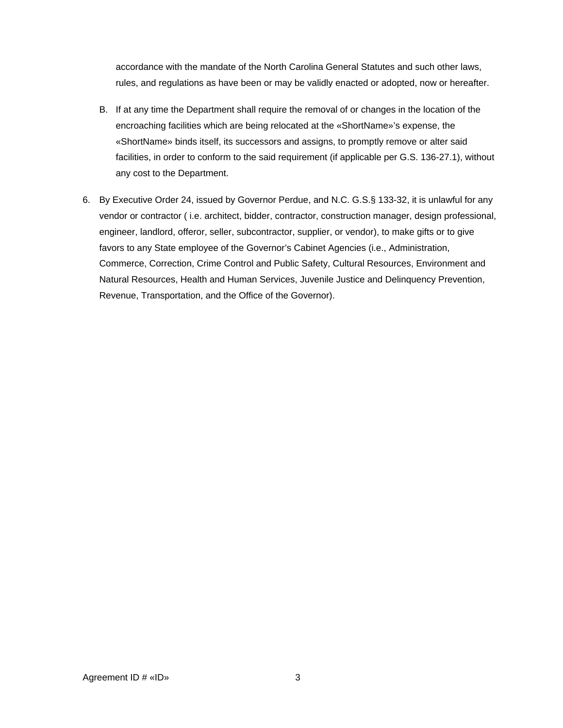accordance with the mandate of the North Carolina General Statutes and such other laws, rules, and regulations as have been or may be validly enacted or adopted, now or hereafter.

- B. If at any time the Department shall require the removal of or changes in the location of the encroaching facilities which are being relocated at the «ShortName»'s expense, the «ShortName» binds itself, its successors and assigns, to promptly remove or alter said facilities, in order to conform to the said requirement (if applicable per G.S. 136-27.1), without any cost to the Department.
- 6. By Executive Order 24, issued by Governor Perdue, and N.C. G.S.§ 133-32, it is unlawful for any vendor or contractor ( i.e. architect, bidder, contractor, construction manager, design professional, engineer, landlord, offeror, seller, subcontractor, supplier, or vendor), to make gifts or to give favors to any State employee of the Governor's Cabinet Agencies (i.e., Administration, Commerce, Correction, Crime Control and Public Safety, Cultural Resources, Environment and Natural Resources, Health and Human Services, Juvenile Justice and Delinquency Prevention, Revenue, Transportation, and the Office of the Governor).